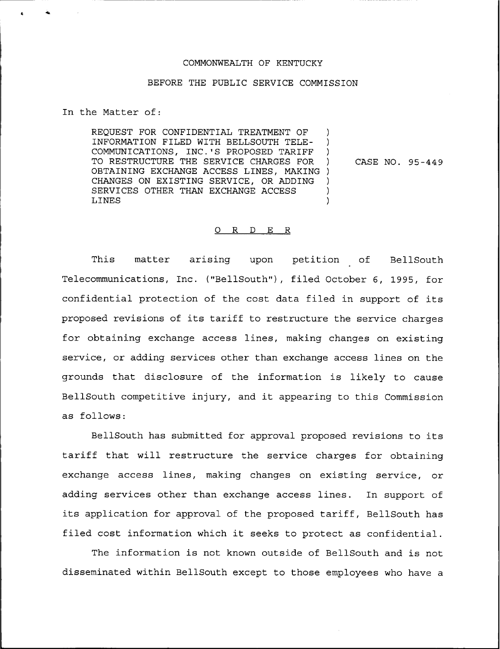## COMMONWEALTH OF KENTUCKY

## BEFORE THE PUBLIC SERVICE COMMISSION

In the Matter of:

REQUEST FOR CONFIDENTIAL TREATMENT OF INFORMATION FILED WITH BELLSOUTH TELE- ) COMMUNICATIONS, INC.'S PROPOSED TARIFF ) TO RESTRUCTURE THE SERVICE CHARGES FOR ) OBTAINING EXCHANGE ACCESS LINES, MAKING ) CHANGES ON EXISTING SERVICE, OR ADDING ) SERVICES OTHER THAN EXCHANGE ACCESS LINES LINES )

CASE NO. 95-449

## 0 R <sup>D</sup> E R

This matter arising upon petition of BellSouth Telecommunications, Inc. ("BellSouth"), filed October 6, 1995, for confidential protection of the cost data filed in support of its proposed revisions of its tariff to restructure the service charges for obtaining exchange access lines, making changes on existing service, or adding services other than exchange access lines on the grounds that disclosure of the information is likely to cause BellSouth competitive injury, and it appearing to this Commission as follows:

BellSouth has submitted for approval proposed revisions to its tariff that will restructure the service charges for obtaining exchange access lines, making changes on existing service, or adding services other than exchange access lines. In support of its application for approval of the proposed tariff, BellSouth has filed cost information which it seeks to protect as confidential.

The information is not known outside of BellSouth and is not disseminated within BellSouth except to those employees who have a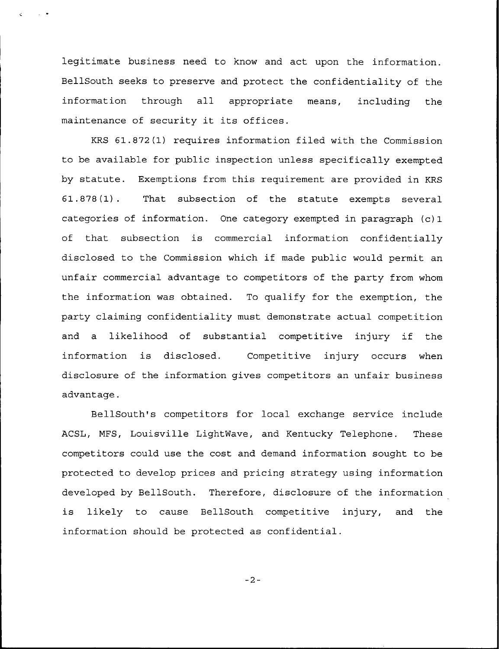legitimate business need to know and act upon the information. BellSouth seeks to preserve and protect the confidentiality of the information through all appropriate means, including the maintenance of security it its offices.

 $\mathcal{L}^{\mathcal{L}}$  and  $\mathcal{L}^{\mathcal{L}}$  . We set  $\mathcal{L}^{\mathcal{L}}$ 

KRS 61.872(1) requires information filed with the Commission to be available for public inspection unless specifically exempted by statute. Exemptions from this requirement are provided in KRS 61.878(1). That subsection of the statute exempts several categories of information. One category exempted in paragraph (c) 1 of that subsection is commercial information confidentially disclosed to the Commission which if made public would permit an unfair commercial advantage to competitors of the party from whom the information was obtained. To qualify for the exemption, the party claiming confidentiality must demonstrate actual competition and <sup>a</sup> likelihood of substantial competitive injury if the information is disclosed. Competitive injury occurs when disclosure of the information gives competitors an unfair business advantage.

BellSouth's competitors for local exchange service include ACSL, NFS, Louisville LightNave, and Kentucky Telephone. These competitors could use the cost and demand information sought to be protected to develop prices and pricing strategy using information developed by BellSouth. Therefore, disclosure of the information is likely to cause BellSouth competitive injury, and the information should be protected as confidential.

 $-2-$